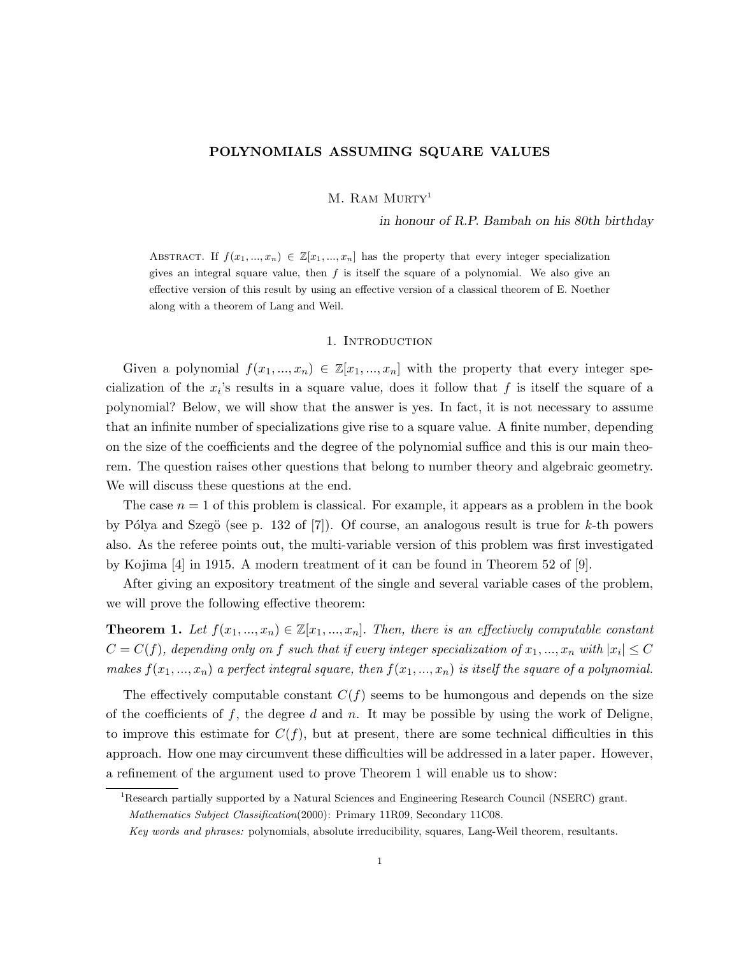# POLYNOMIALS ASSUMING SQUARE VALUES

M. RAM MURTY<sup>1</sup>

in honour of R.P. Bambah on his 80th birthday

ABSTRACT. If  $f(x_1,...,x_n) \in \mathbb{Z}[x_1,...,x_n]$  has the property that every integer specialization gives an integral square value, then  $f$  is itself the square of a polynomial. We also give an effective version of this result by using an effective version of a classical theorem of E. Noether along with a theorem of Lang and Weil.

## 1. INTRODUCTION

Given a polynomial  $f(x_1, ..., x_n) \in \mathbb{Z}[x_1, ..., x_n]$  with the property that every integer specialization of the  $x_i$ 's results in a square value, does it follow that f is itself the square of a polynomial? Below, we will show that the answer is yes. In fact, it is not necessary to assume that an infinite number of specializations give rise to a square value. A finite number, depending on the size of the coefficients and the degree of the polynomial suffice and this is our main theorem. The question raises other questions that belong to number theory and algebraic geometry. We will discuss these questions at the end.

The case  $n = 1$  of this problem is classical. For example, it appears as a problem in the book by Pólya and Szegö (see p. 132 of [7]). Of course, an analogous result is true for k-th powers also. As the referee points out, the multi-variable version of this problem was first investigated by Kojima [4] in 1915. A modern treatment of it can be found in Theorem 52 of [9].

After giving an expository treatment of the single and several variable cases of the problem, we will prove the following effective theorem:

**Theorem 1.** Let  $f(x_1,...,x_n) \in \mathbb{Z}[x_1,...,x_n]$ . Then, there is an effectively computable constant  $C=C(f),$  depending only on  $f$  such that if every integer specialization of  $x_1,...,x_n$  with  $|x_i|\leq C$ makes  $f(x_1, ..., x_n)$  a perfect integral square, then  $f(x_1, ..., x_n)$  is itself the square of a polynomial.

The effectively computable constant  $C(f)$  seems to be humongous and depends on the size of the coefficients of f, the degree d and n. It may be possible by using the work of Deligne, to improve this estimate for  $C(f)$ , but at present, there are some technical difficulties in this approach. How one may circumvent these difficulties will be addressed in a later paper. However, a refinement of the argument used to prove Theorem 1 will enable us to show:

<sup>1</sup>Research partially supported by a Natural Sciences and Engineering Research Council (NSERC) grant.

Mathematics Subject Classification(2000): Primary 11R09, Secondary 11C08.

Key words and phrases: polynomials, absolute irreducibility, squares, Lang-Weil theorem, resultants.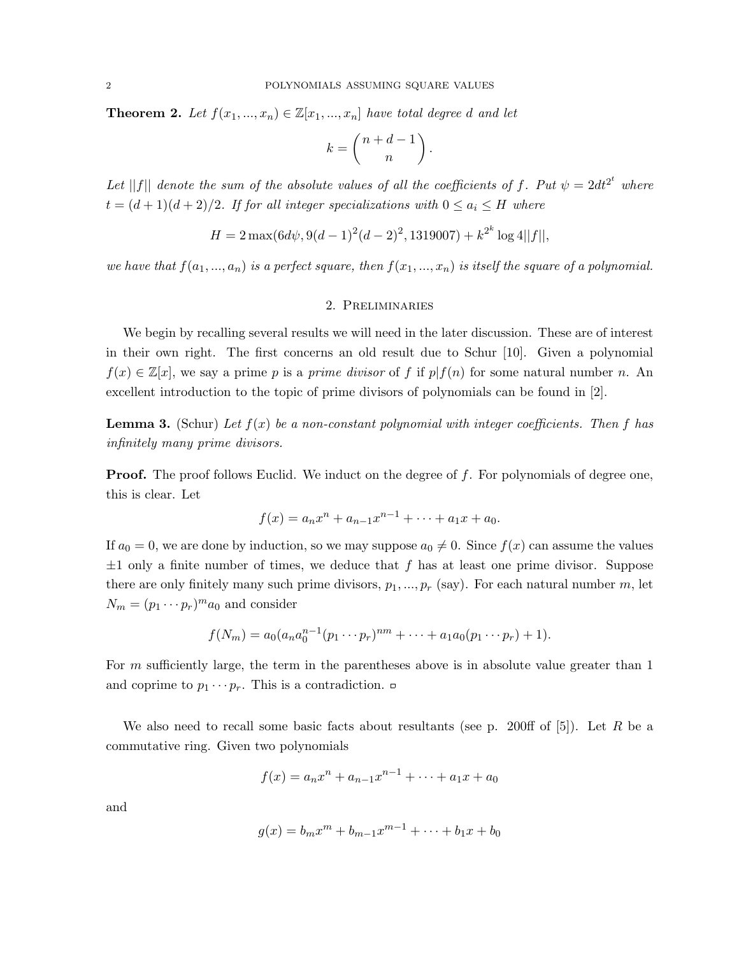**Theorem 2.** Let  $f(x_1, ..., x_n) \in \mathbb{Z}[x_1, ..., x_n]$  have total degree d and let

$$
k = \binom{n+d-1}{n}.
$$

Let ||f|| denote the sum of the absolute values of all the coefficients of f. Put  $\psi = 2dt^{2^t}$  where  $t = (d+1)(d+2)/2$ . If for all integer specializations with  $0 \le a_i \le H$  where

$$
H = 2\max(6d\psi, 9(d-1)^{2}(d-2)^{2}, 1319007) + k^{2^{k}}\log 4||f||,
$$

we have that  $f(a_1, ..., a_n)$  is a perfect square, then  $f(x_1, ..., x_n)$  is itself the square of a polynomial.

## 2. Preliminaries

We begin by recalling several results we will need in the later discussion. These are of interest in their own right. The first concerns an old result due to Schur [10]. Given a polynomial  $f(x) \in \mathbb{Z}[x]$ , we say a prime p is a prime divisor of f if  $p|f(n)$  for some natural number n. An excellent introduction to the topic of prime divisors of polynomials can be found in [2].

**Lemma 3.** (Schur) Let  $f(x)$  be a non-constant polynomial with integer coefficients. Then f has infinitely many prime divisors.

**Proof.** The proof follows Euclid. We induct on the degree of f. For polynomials of degree one, this is clear. Let

$$
f(x) = a_n x^n + a_{n-1} x^{n-1} + \dots + a_1 x + a_0.
$$

If  $a_0 = 0$ , we are done by induction, so we may suppose  $a_0 \neq 0$ . Since  $f(x)$  can assume the values  $\pm 1$  only a finite number of times, we deduce that f has at least one prime divisor. Suppose there are only finitely many such prime divisors,  $p_1, ..., p_r$  (say). For each natural number m, let  $N_m = (p_1 \cdots p_r)^m a_0$  and consider

$$
f(N_m) = a_0(a_n a_0^{n-1} (p_1 \cdots p_r)^{nm} + \cdots + a_1 a_0 (p_1 \cdots p_r) + 1).
$$

For  $m$  sufficiently large, the term in the parentheses above is in absolute value greater than 1 and coprime to  $p_1 \cdots p_r$ . This is a contradiction.  $\Box$ 

We also need to recall some basic facts about resultants (see p. 200ff of  $[5]$ ). Let R be a commutative ring. Given two polynomials

$$
f(x) = a_n x^n + a_{n-1} x^{n-1} + \dots + a_1 x + a_0
$$

and

$$
g(x) = b_m x^m + b_{m-1} x^{m-1} + \dots + b_1 x + b_0
$$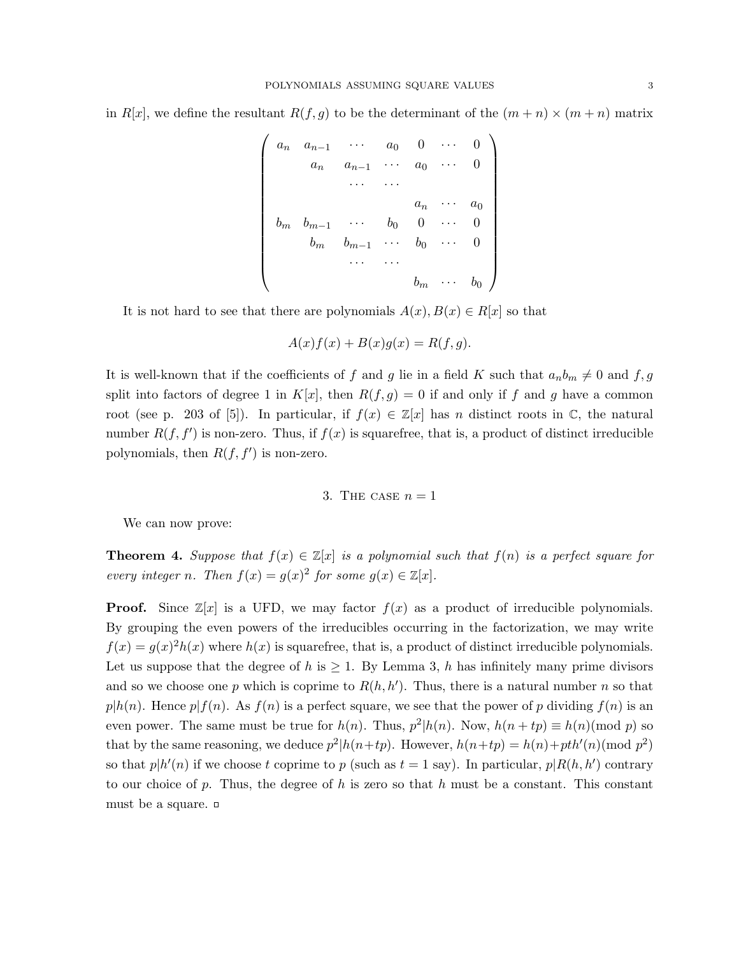in R[x], we define the resultant  $R(f, g)$  to be the determinant of the  $(m + n) \times (m + n)$  matrix

$$
\begin{pmatrix}\n a_n & a_{n-1} & \cdots & a_0 & 0 & \cdots & 0 \\
a_n & a_{n-1} & \cdots & a_0 & \cdots & 0 \\
& \cdots & \cdots & & & \\
& a_n & \cdots & a_0 & \\
& b_m & b_{m-1} & \cdots & b_0 & 0 & \cdots & 0 \\
& b_m & b_{m-1} & \cdots & b_0 & \cdots & 0 \\
& \cdots & \cdots & & & \\
& & \cdots & \cdots & & \\
& & & & b_m & \cdots & b_0\n\end{pmatrix}
$$

It is not hard to see that there are polynomials  $A(x), B(x) \in R[x]$  so that

$$
A(x)f(x) + B(x)g(x) = R(f, g).
$$

It is well-known that if the coefficients of f and g lie in a field K such that  $a_n b_m \neq 0$  and f, g split into factors of degree 1 in  $K[x]$ , then  $R(f,g) = 0$  if and only if f and g have a common root (see p. 203 of [5]). In particular, if  $f(x) \in \mathbb{Z}[x]$  has n distinct roots in  $\mathbb{C}$ , the natural number  $R(f, f')$  is non-zero. Thus, if  $f(x)$  is squarefree, that is, a product of distinct irreducible polynomials, then  $R(f, f')$  is non-zero.

### 3. THE CASE  $n = 1$

We can now prove:

**Theorem 4.** Suppose that  $f(x) \in \mathbb{Z}[x]$  is a polynomial such that  $f(n)$  is a perfect square for every integer n. Then  $f(x) = g(x)^2$  for some  $g(x) \in \mathbb{Z}[x]$ .

**Proof.** Since  $\mathbb{Z}[x]$  is a UFD, we may factor  $f(x)$  as a product of irreducible polynomials. By grouping the even powers of the irreducibles occurring in the factorization, we may write  $f(x) = g(x)^2 h(x)$  where  $h(x)$  is squarefree, that is, a product of distinct irreducible polynomials. Let us suppose that the degree of h is  $\geq 1$ . By Lemma 3, h has infinitely many prime divisors and so we choose one p which is coprime to  $R(h, h')$ . Thus, there is a natural number n so that  $p|h(n)$ . Hence  $p|f(n)$ . As  $f(n)$  is a perfect square, we see that the power of p dividing  $f(n)$  is an even power. The same must be true for  $h(n)$ . Thus,  $p^2|h(n)$ . Now,  $h(n+tp) \equiv h(n) \pmod{p}$  so that by the same reasoning, we deduce  $p^2|h(n+tp)$ . However,  $h(n+tp) = h(n) + pth'(n)$  (mod  $p^2$ ) so that  $p|h'(n)$  if we choose t coprime to p (such as  $t = 1$  say). In particular,  $p|R(h, h')$  contrary to our choice of p. Thus, the degree of h is zero so that h must be a constant. This constant must be a square.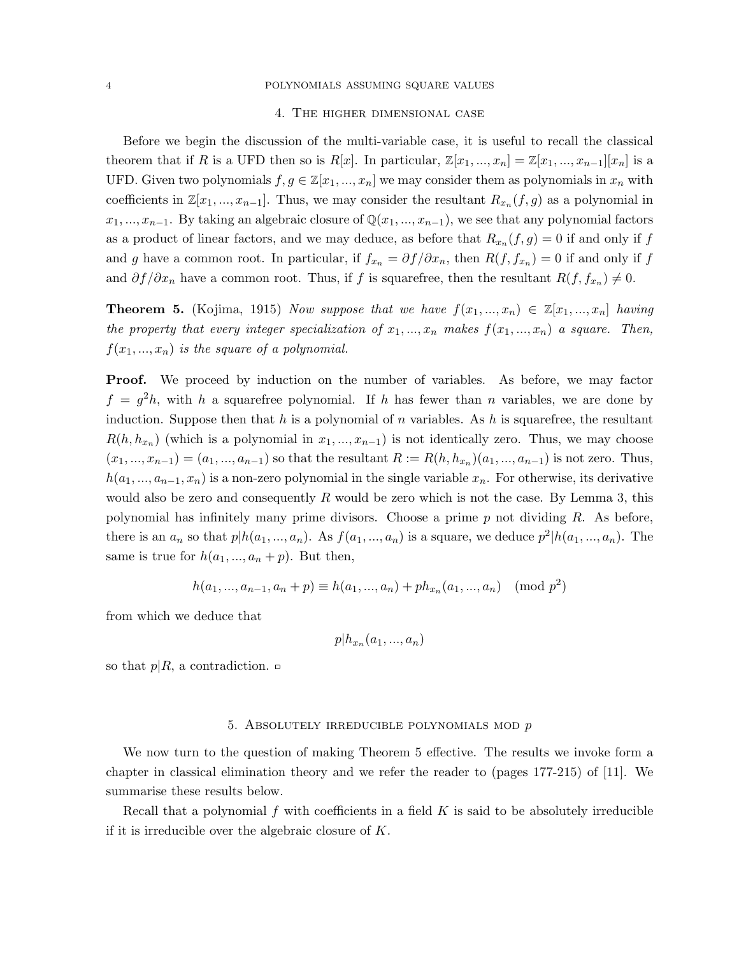# 4. The higher dimensional case

Before we begin the discussion of the multi-variable case, it is useful to recall the classical theorem that if R is a UFD then so is  $R[x]$ . In particular,  $\mathbb{Z}[x_1, ..., x_n] = \mathbb{Z}[x_1, ..., x_{n-1}][x_n]$  is a UFD. Given two polynomials  $f, g \in \mathbb{Z}[x_1, ..., x_n]$  we may consider them as polynomials in  $x_n$  with coefficients in  $\mathbb{Z}[x_1, ..., x_{n-1}]$ . Thus, we may consider the resultant  $R_{x_n}(f,g)$  as a polynomial in  $x_1, ..., x_{n-1}$ . By taking an algebraic closure of  $\mathbb{Q}(x_1, ..., x_{n-1})$ , we see that any polynomial factors as a product of linear factors, and we may deduce, as before that  $R_{x_n}(f,g) = 0$  if and only if f and g have a common root. In particular, if  $f_{x_n} = \partial f / \partial x_n$ , then  $R(f, f_{x_n}) = 0$  if and only if f and  $\partial f/\partial x_n$  have a common root. Thus, if f is squarefree, then the resultant  $R(f, f_{x_n}) \neq 0$ .

**Theorem 5.** (Kojima, 1915) Now suppose that we have  $f(x_1, ..., x_n) \in \mathbb{Z}[x_1, ..., x_n]$  having the property that every integer specialization of  $x_1, ..., x_n$  makes  $f(x_1, ..., x_n)$  a square. Then,  $f(x_1, ..., x_n)$  is the square of a polynomial.

**Proof.** We proceed by induction on the number of variables. As before, we may factor  $f = g^2 h$ , with h a squarefree polynomial. If h has fewer than n variables, we are done by induction. Suppose then that h is a polynomial of n variables. As h is squarefree, the resultant  $R(h, h_{x_n})$  (which is a polynomial in  $x_1, ..., x_{n-1}$ ) is not identically zero. Thus, we may choose  $(x_1, ..., x_{n-1}) = (a_1, ..., a_{n-1})$  so that the resultant  $R := R(h, h_{x_n})(a_1, ..., a_{n-1})$  is not zero. Thus,  $h(a_1, ..., a_{n-1}, x_n)$  is a non-zero polynomial in the single variable  $x_n$ . For otherwise, its derivative would also be zero and consequently  $R$  would be zero which is not the case. By Lemma 3, this polynomial has infinitely many prime divisors. Choose a prime  $p$  not dividing  $R$ . As before, there is an  $a_n$  so that  $p|h(a_1, ..., a_n)$ . As  $f(a_1, ..., a_n)$  is a square, we deduce  $p^2|h(a_1, ..., a_n)$ . The same is true for  $h(a_1, ..., a_n + p)$ . But then,

$$
h(a_1, ..., a_{n-1}, a_n + p) \equiv h(a_1, ..., a_n) + ph_{x_n}(a_1, ..., a_n) \pmod{p^2}
$$

from which we deduce that

$$
p|h_{x_n}(a_1,...,a_n)
$$

so that  $p|R$ , a contradiction.  $\Box$ 

#### 5. ABSOLUTELY IRREDUCIBLE POLYNOMIALS MOD  $p$

We now turn to the question of making Theorem 5 effective. The results we invoke form a chapter in classical elimination theory and we refer the reader to (pages 177-215) of [11]. We summarise these results below.

Recall that a polynomial f with coefficients in a field K is said to be absolutely irreducible if it is irreducible over the algebraic closure of K.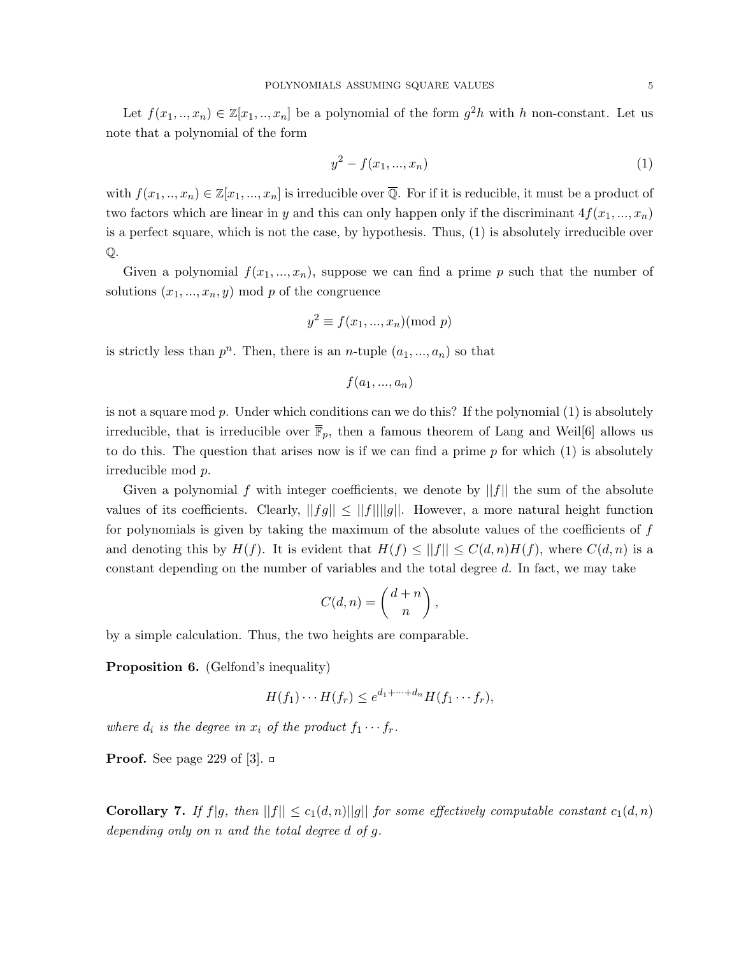Let  $f(x_1, \ldots, x_n) \in \mathbb{Z}[x_1, \ldots, x_n]$  be a polynomial of the form  $g^2h$  with h non-constant. Let us note that a polynomial of the form

$$
y^2 - f(x_1, ..., x_n) \tag{1}
$$

with  $f(x_1, ..., x_n) \in \mathbb{Z}[x_1, ..., x_n]$  is irreducible over  $\overline{\mathbb{Q}}$ . For if it is reducible, it must be a product of two factors which are linear in y and this can only happen only if the discriminant  $4f(x_1, ..., x_n)$ is a perfect square, which is not the case, by hypothesis. Thus, (1) is absolutely irreducible over Q.

Given a polynomial  $f(x_1, ..., x_n)$ , suppose we can find a prime p such that the number of solutions  $(x_1, ..., x_n, y) \mod p$  of the congruence

$$
y^2 \equiv f(x_1, ..., x_n) \pmod{p}
$$

is strictly less than  $p^n$ . Then, there is an *n*-tuple  $(a_1, ..., a_n)$  so that

 $f(a_1, ..., a_n)$ 

is not a square mod  $p$ . Under which conditions can we do this? If the polynomial  $(1)$  is absolutely irreducible, that is irreducible over  $\overline{\mathbb{F}}_p$ , then a famous theorem of Lang and Weil[6] allows us to do this. The question that arises now is if we can find a prime  $p$  for which  $(1)$  is absolutely irreducible mod p.

Given a polynomial f with integer coefficients, we denote by  $||f||$  the sum of the absolute values of its coefficients. Clearly,  $||fg|| \leq ||f|| ||g||$ . However, a more natural height function for polynomials is given by taking the maximum of the absolute values of the coefficients of  $f$ and denoting this by  $H(f)$ . It is evident that  $H(f) \leq ||f|| \leq C(d,n)H(f)$ , where  $C(d,n)$  is a constant depending on the number of variables and the total degree d. In fact, we may take

$$
C(d, n) = \binom{d+n}{n},
$$

by a simple calculation. Thus, the two heights are comparable.

Proposition 6. (Gelfond's inequality)

$$
H(f_1)\cdots H(f_r) \leq e^{d_1+\cdots+d_n}H(f_1\cdots f_r),
$$

where  $d_i$  is the degree in  $x_i$  of the product  $f_1 \cdots f_r$ .

**Proof.** See page 229 of [3].  $\Box$ 

**Corollary 7.** If  $f|g$ , then  $||f|| \leq c_1(d,n)||g||$  for some effectively computable constant  $c_1(d,n)$ depending only on n and the total degree d of g.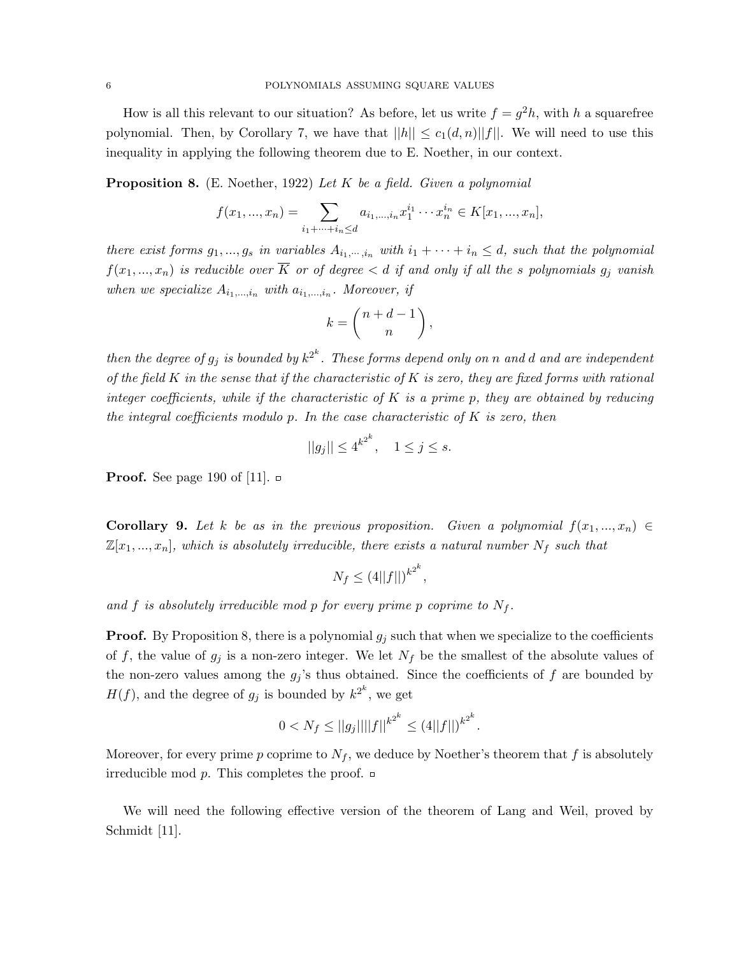How is all this relevant to our situation? As before, let us write  $f = g^2 h$ , with h a squarefree polynomial. Then, by Corollary 7, we have that  $||h|| \leq c_1(d,n)||f||$ . We will need to use this inequality in applying the following theorem due to E. Noether, in our context.

**Proposition 8.** (E. Noether, 1922) Let K be a field. Given a polynomial

$$
f(x_1, ..., x_n) = \sum_{i_1 + \dots + i_n \leq d} a_{i_1, ..., i_n} x_1^{i_1} \cdots x_n^{i_n} \in K[x_1, ..., x_n],
$$

there exist forms  $g_1, ..., g_s$  in variables  $A_{i_1, ..., i_n}$  with  $i_1 + \cdots + i_n \leq d$ , such that the polynomial  $f(x_1,...,x_n)$  is reducible over  $\overline{K}$  or of degree  $\lt d$  if and only if all the s polynomials  $g_j$  vanish when we specialize  $A_{i_1,\dots,i_n}$  with  $a_{i_1,\dots,i_n}$ . Moreover, if

$$
k = \binom{n+d-1}{n},
$$

then the degree of  $g_j$  is bounded by  $k^{2^k}$ . These forms depend only on n and d and are independent of the field  $K$  in the sense that if the characteristic of  $K$  is zero, they are fixed forms with rational integer coefficients, while if the characteristic of K is a prime p, they are obtained by reducing the integral coefficients modulo  $p$ . In the case characteristic of  $K$  is zero, then

$$
||g_j|| \le 4^{k^{2^k}}, \quad 1 \le j \le s.
$$

**Proof.** See page 190 of [11].  $\Box$ 

**Corollary 9.** Let k be as in the previous proposition. Given a polynomial  $f(x_1, ..., x_n) \in$  $\mathbb{Z}[x_1, ..., x_n]$ , which is absolutely irreducible, there exists a natural number  $N_f$  such that

$$
N_f \le (4||f||)^{k^{2^k}},
$$

and f is absolutely irreducible mod p for every prime p coprime to  $N_f$ .

**Proof.** By Proposition 8, there is a polynomial  $g_j$  such that when we specialize to the coefficients of f, the value of  $g_j$  is a non-zero integer. We let  $N_f$  be the smallest of the absolute values of the non-zero values among the  $g_j$ 's thus obtained. Since the coefficients of f are bounded by  $H(f)$ , and the degree of  $g_j$  is bounded by  $k^{2^k}$ , we get

$$
0 < N_f \le ||g_j|| ||f||^{k^{2^k}} \le (4||f||)^{k^{2^k}}.
$$

Moreover, for every prime p coprime to  $N_f$ , we deduce by Noether's theorem that f is absolutely irreducible mod  $p$ . This completes the proof.  $\Box$ 

We will need the following effective version of the theorem of Lang and Weil, proved by Schmidt [11].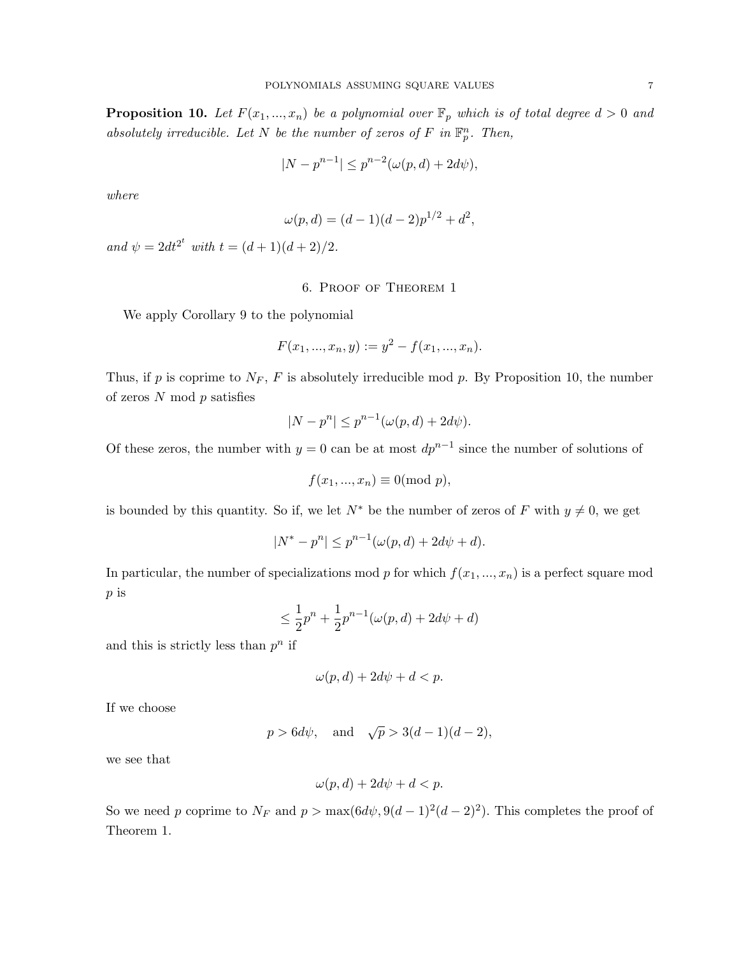**Proposition 10.** Let  $F(x_1,...,x_n)$  be a polynomial over  $\mathbb{F}_p$  which is of total degree  $d > 0$  and absolutely irreducible. Let N be the number of zeros of F in  $\mathbb{F}_p^n$ . Then,

$$
|N - p^{n-1}| \le p^{n-2}(\omega(p, d) + 2d\psi),
$$

where

$$
\omega(p, d) = (d - 1)(d - 2)p^{1/2} + d^2,
$$

and  $\psi = 2dt^{2^t}$  with  $t = (d+1)(d+2)/2$ .

# 6. Proof of Theorem 1

We apply Corollary 9 to the polynomial

$$
F(x_1, ..., x_n, y) := y^2 - f(x_1, ..., x_n).
$$

Thus, if p is coprime to  $N_F$ , F is absolutely irreducible mod p. By Proposition 10, the number of zeros  $N \mod p$  satisfies

$$
|N - p^n| \le p^{n-1}(\omega(p, d) + 2d\psi).
$$

Of these zeros, the number with  $y = 0$  can be at most  $dp^{n-1}$  since the number of solutions of

$$
f(x_1, ..., x_n) \equiv 0 \pmod{p},
$$

is bounded by this quantity. So if, we let  $N^*$  be the number of zeros of F with  $y \neq 0$ , we get

$$
|N^* - p^n| \le p^{n-1}(\omega(p, d) + 2d\psi + d).
$$

In particular, the number of specializations mod p for which  $f(x_1, ..., x_n)$  is a perfect square mod p is

$$
\leq \frac{1}{2}p^{n} + \frac{1}{2}p^{n-1}(\omega(p, d) + 2d\psi + d)
$$

and this is strictly less than  $p^n$  if

$$
\omega(p, d) + 2d\psi + d < p.
$$

If we choose

$$
p > 6d\psi
$$
, and  $\sqrt{p} > 3(d-1)(d-2)$ ,

we see that

$$
\omega(p, d) + 2d\psi + d < p.
$$

So we need p coprime to  $N_F$  and  $p > \max(6d\psi, 9(d-1)^2(d-2)^2)$ . This completes the proof of Theorem 1.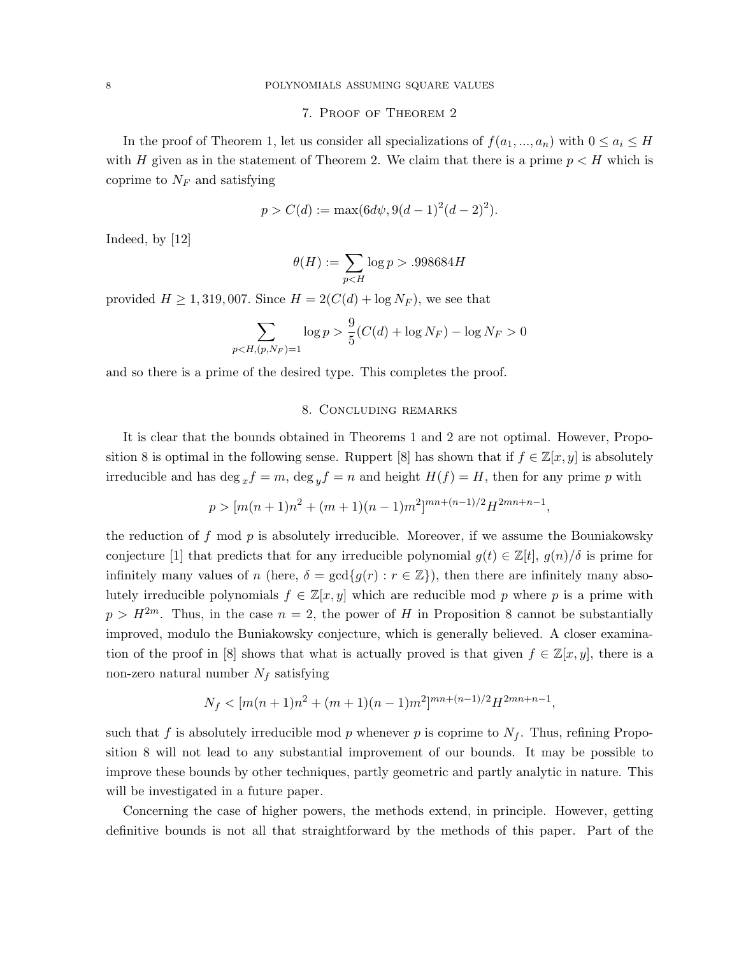# 7. Proof of Theorem 2

In the proof of Theorem 1, let us consider all specializations of  $f(a_1, ..., a_n)$  with  $0 \le a_i \le H$ with H given as in the statement of Theorem 2. We claim that there is a prime  $p < H$  which is coprime to  $N_F$  and satisfying

$$
p > C(d) := \max(6d\psi, 9(d-1)^2(d-2)^2).
$$

Indeed, by [12]

$$
\theta(H) := \sum_{p .998684H
$$

provided  $H \ge 1,319,007$ . Since  $H = 2(C(d) + \log N_F)$ , we see that

$$
\sum_{p < H, (p, N_F) = 1} \log p > \frac{9}{5} (C(d) + \log N_F) - \log N_F > 0
$$

and so there is a prime of the desired type. This completes the proof.

#### 8. Concluding remarks

It is clear that the bounds obtained in Theorems 1 and 2 are not optimal. However, Proposition 8 is optimal in the following sense. Ruppert [8] has shown that if  $f \in \mathbb{Z}[x, y]$  is absolutely irreducible and has deg  $_{x}f = m$ , deg  $_{y}f = n$  and height  $H(f) = H$ , then for any prime p with

$$
p > [m(n+1)n2 + (m+1)(n-1)m2]^{mn+(n-1)/2}H2mn+n-1,
$$

the reduction of f mod  $p$  is absolutely irreducible. Moreover, if we assume the Bouniakowsky conjecture [1] that predicts that for any irreducible polynomial  $g(t) \in \mathbb{Z}[t]$ ,  $g(n)/\delta$  is prime for infinitely many values of n (here,  $\delta = \gcd\{g(r) : r \in \mathbb{Z}\}\)$ , then there are infinitely many absolutely irreducible polynomials  $f \in \mathbb{Z}[x, y]$  which are reducible mod p where p is a prime with  $p > H^{2m}$ . Thus, in the case  $n = 2$ , the power of H in Proposition 8 cannot be substantially improved, modulo the Buniakowsky conjecture, which is generally believed. A closer examination of the proof in [8] shows that what is actually proved is that given  $f \in \mathbb{Z}[x, y]$ , there is a non-zero natural number  $N_f$  satisfying

$$
N_f < [m(n+1)n^2 + (m+1)(n-1)m^2]^{mn + (n-1)/2}H^{2mn+n-1},
$$

such that f is absolutely irreducible mod p whenever p is coprime to  $N_f$ . Thus, refining Proposition 8 will not lead to any substantial improvement of our bounds. It may be possible to improve these bounds by other techniques, partly geometric and partly analytic in nature. This will be investigated in a future paper.

Concerning the case of higher powers, the methods extend, in principle. However, getting definitive bounds is not all that straightforward by the methods of this paper. Part of the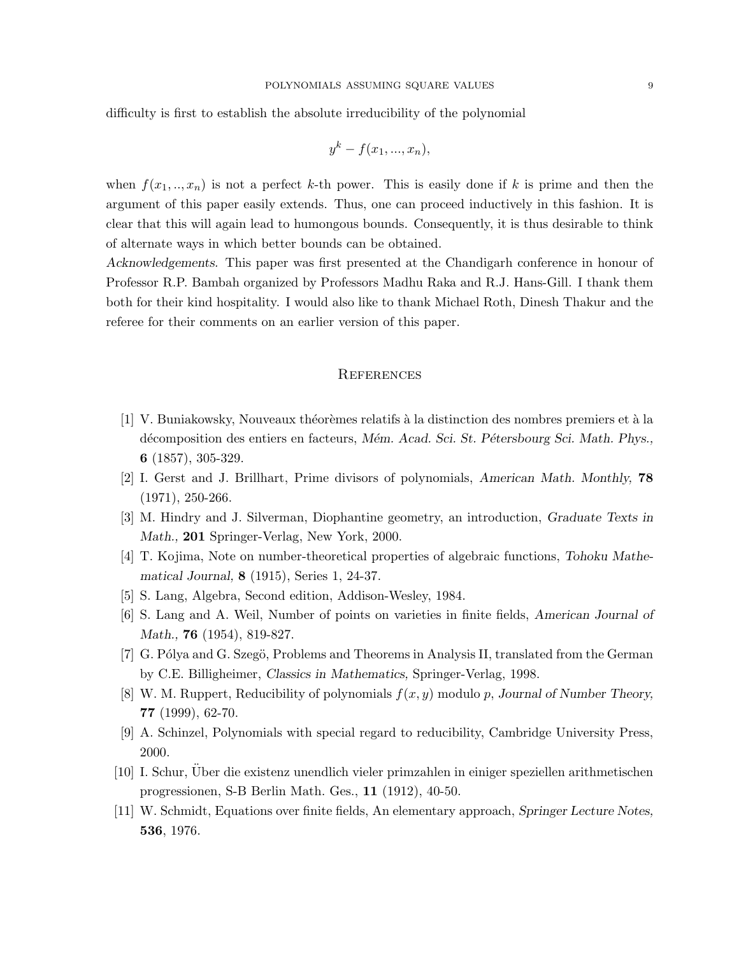difficulty is first to establish the absolute irreducibility of the polynomial

$$
y^k - f(x_1, \ldots, x_n),
$$

when  $f(x_1, \ldots, x_n)$  is not a perfect k-th power. This is easily done if k is prime and then the argument of this paper easily extends. Thus, one can proceed inductively in this fashion. It is clear that this will again lead to humongous bounds. Consequently, it is thus desirable to think of alternate ways in which better bounds can be obtained.

Acknowledgements. This paper was first presented at the Chandigarh conference in honour of Professor R.P. Bambah organized by Professors Madhu Raka and R.J. Hans-Gill. I thank them both for their kind hospitality. I would also like to thank Michael Roth, Dinesh Thakur and the referee for their comments on an earlier version of this paper.

## **REFERENCES**

- [1] V. Buniakowsky, Nouveaux théorèmes relatifs à la distinction des nombres premiers et à la décomposition des entiers en facteurs, Mém. Acad. Sci. St. Pétersbourg Sci. Math. Phys., 6 (1857), 305-329.
- [2] I. Gerst and J. Brillhart, Prime divisors of polynomials, American Math. Monthly, 78 (1971), 250-266.
- [3] M. Hindry and J. Silverman, Diophantine geometry, an introduction, Graduate Texts in Math., 201 Springer-Verlag, New York, 2000.
- [4] T. Kojima, Note on number-theoretical properties of algebraic functions, Tohoku Mathematical Journal, 8 (1915), Series 1, 24-37.
- [5] S. Lang, Algebra, Second edition, Addison-Wesley, 1984.
- [6] S. Lang and A. Weil, Number of points on varieties in finite fields, American Journal of Math., **76** (1954), 819-827.
- [7] G. Pólya and G. Szegö, Problems and Theorems in Analysis II, translated from the German by C.E. Billigheimer, Classics in Mathematics, Springer-Verlag, 1998.
- [8] W. M. Ruppert, Reducibility of polynomials  $f(x, y)$  modulo p, Journal of Number Theory, 77 (1999), 62-70.
- [9] A. Schinzel, Polynomials with special regard to reducibility, Cambridge University Press, 2000.
- [10] I. Schur, Uber die existenz unendlich vieler primzahlen in einiger speziellen arithmetischen ¨ progressionen, S-B Berlin Math. Ges., 11 (1912), 40-50.
- [11] W. Schmidt, Equations over finite fields, An elementary approach, Springer Lecture Notes, 536, 1976.